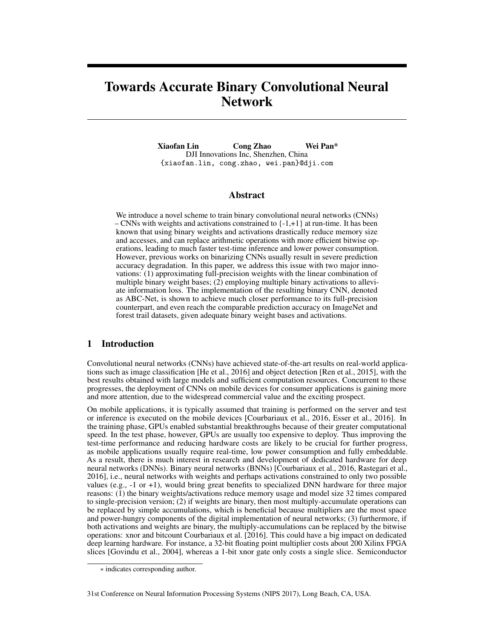# <span id="page-0-1"></span>Towards Accurate Binary Convolutional Neural Network

Xiaofan Lin Cong Zhao Wei Pan\* DJI Innovations Inc, Shenzhen, China {xiaofan.lin, cong.zhao, wei.pan}@dji.com

# Abstract

We introduce a novel scheme to train binary convolutional neural networks (CNNs) – CNNs with weights and activations constrained to  $\{-1, +1\}$  at run-time. It has been known that using binary weights and activations drastically reduce memory size and accesses, and can replace arithmetic operations with more efficient bitwise operations, leading to much faster test-time inference and lower power consumption. However, previous works on binarizing CNNs usually result in severe prediction accuracy degradation. In this paper, we address this issue with two major innovations: (1) approximating full-precision weights with the linear combination of multiple binary weight bases; (2) employing multiple binary activations to alleviate information loss. The implementation of the resulting binary CNN, denoted as ABC-Net, is shown to achieve much closer performance to its full-precision counterpart, and even reach the comparable prediction accuracy on ImageNet and forest trail datasets, given adequate binary weight bases and activations.

# <span id="page-0-6"></span>1 Introduction

<span id="page-0-5"></span>Convolutional neural networks (CNNs) have achieved state-of-the-art results on real-world applications such as image classification [\[He et al., 2016\]](#page-8-0) and object detection [\[Ren et al., 2015\]](#page-8-1), with the best results obtained with large models and sufficient computation resources. Concurrent to these progresses, the deployment of CNNs on mobile devices for consumer applications is gaining more and more attention, due to the widespread commercial value and the exciting prospect.

<span id="page-0-4"></span><span id="page-0-3"></span><span id="page-0-0"></span>On mobile applications, it is typically assumed that training is performed on the server and test or inference is executed on the mobile devices [\[Courbariaux et al., 2016,](#page-8-2) [Esser et al., 2016\]](#page-8-3). In the training phase, GPUs enabled substantial breakthroughs because of their greater computational speed. In the test phase, however, GPUs are usually too expensive to deploy. Thus improving the test-time performance and reducing hardware costs are likely to be crucial for further progress, as mobile applications usually require real-time, low power consumption and fully embeddable. As a result, there is much interest in research and development of dedicated hardware for deep neural networks (DNNs). Binary neural networks (BNNs) [\[Courbariaux et al., 2016,](#page-8-2) [Rastegari et al.,](#page-8-4) [2016\]](#page-8-4), i.e., neural networks with weights and perhaps activations constrained to only two possible values (e.g., -1 or +1), would bring great benefits to specialized DNN hardware for three major reasons: (1) the binary weights/activations reduce memory usage and model size 32 times compared to single-precision version; (2) if weights are binary, then most multiply-accumulate operations can be replaced by simple accumulations, which is beneficial because multipliers are the most space and power-hungry components of the digital implementation of neural networks; (3) furthermore, if both activations and weights are binary, the multiply-accumulations can be replaced by the bitwise operations: xnor and bitcount [Courbariaux et al.](#page-8-2) [\[2016\]](#page-8-2). This could have a big impact on dedicated deep learning hardware. For instance, a 32-bit floating point multiplier costs about 200 Xilinx FPGA slices [\[Govindu et al., 2004\]](#page-8-5), whereas a 1-bit xnor gate only costs a single slice. Semiconductor

<span id="page-0-2"></span><sup>⇤</sup> indicates corresponding author.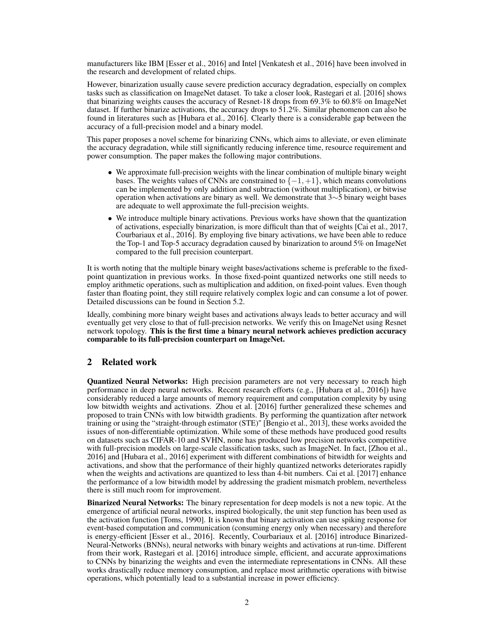manufacturers like IBM [\[Esser et al., 2016\]](#page-8-3) and Intel [\[Venkatesh et al., 2016\]](#page-8-6) have been involved in the research and development of related chips.

However, binarization usually cause severe prediction accuracy degradation, especially on complex tasks such as classification on ImageNet dataset. To take a closer look, [Rastegari et al.](#page-8-4) [\[2016\]](#page-8-4) shows that binarizing weights causes the accuracy of Resnet-18 drops from 69.3% to 60.8% on ImageNet dataset. If further binarize activations, the accuracy drops to 51.2%. Similar phenomenon can also be found in literatures such as [\[Hubara et al., 2016\]](#page-8-7). Clearly there is a considerable gap between the accuracy of a full-precision model and a binary model.

This paper proposes a novel scheme for binarizing CNNs, which aims to alleviate, or even eliminate the accuracy degradation, while still significantly reducing inference time, resource requirement and power consumption. The paper makes the following major contributions.

- We approximate full-precision weights with the linear combination of multiple binary weight bases. The weights values of CNNs are constrained to  $\{-1, +1\}$ , which means convolutions can be implemented by only addition and subtraction (without multiplication), or bitwise operation when activations are binary as well. We demonstrate that  $3 \sim 5$  binary weight bases are adequate to well approximate the full-precision weights.
- We introduce multiple binary activations. Previous works have shown that the quantization of activations, especially binarization, is more difficult than that of weights [\[Cai et al., 2017,](#page-8-8) [Courbariaux et al., 2016\]](#page-8-2). By employing five binary activations, we have been able to reduce the Top-1 and Top-5 accuracy degradation caused by binarization to around 5% on ImageNet compared to the full precision counterpart.

It is worth noting that the multiple binary weight bases/activations scheme is preferable to the fixedpoint quantization in previous works. In those fixed-point quantized networks one still needs to employ arithmetic operations, such as multiplication and addition, on fixed-point values. Even though faster than floating point, they still require relatively complex logic and can consume a lot of power. Detailed discussions can be found in Section [5.2.](#page-6-0)

Ideally, combining more binary weight bases and activations always leads to better accuracy and will eventually get very close to that of full-precision networks. We verify this on ImageNet using Resnet network topology. This is the first time a binary neural network achieves prediction accuracy comparable to its full-precision counterpart on ImageNet.

# 2 Related work

Quantized Neural Networks: High precision parameters are not very necessary to reach high performance in deep neural networks. Recent research efforts (e.g., [\[Hubara et al., 2016\]](#page-8-7)) have considerably reduced a large amounts of memory requirement and computation complexity by using low bitwidth weights and activations. [Zhou et al.](#page-8-9) [\[2016\]](#page-8-9) further generalized these schemes and proposed to train CNNs with low bitwidth gradients. By performing the quantization after network training or using the "straight-through estimator (STE)" [\[Bengio et al., 2013\]](#page-8-10), these works avoided the issues of non-differentiable optimization. While some of these methods have produced good results on datasets such as CIFAR-10 and SVHN, none has produced low precision networks competitive with full-precision models on large-scale classification tasks, such as ImageNet. In fact, [\[Zhou et al.,](#page-8-9) [2016\]](#page-8-9) and [\[Hubara et al., 2016\]](#page-8-7) experiment with different combinations of bitwidth for weights and activations, and show that the performance of their highly quantized networks deteriorates rapidly when the weights and activations are quantized to less than 4-bit numbers. [Cai et al.](#page-8-8) [\[2017\]](#page-8-8) enhance the performance of a low bitwidth model by addressing the gradient mismatch problem, nevertheless there is still much room for improvement.

Binarized Neural Networks: The binary representation for deep models is not a new topic. At the emergence of artificial neural networks, inspired biologically, the unit step function has been used as the activation function [\[Toms, 1990\]](#page-8-11). It is known that binary activation can use spiking response for event-based computation and communication (consuming energy only when necessary) and therefore is energy-efficient [\[Esser et al., 2016\]](#page-8-3). Recently, [Courbariaux et al.](#page-8-2) [\[2016\]](#page-8-2) introduce Binarized-Neural-Networks (BNNs), neural networks with binary weights and activations at run-time. Different from their work, [Rastegari et al.](#page-8-4) [\[2016\]](#page-8-4) introduce simple, efficient, and accurate approximations to CNNs by binarizing the weights and even the intermediate representations in CNNs. All these works drastically reduce memory consumption, and replace most arithmetic operations with bitwise operations, which potentially lead to a substantial increase in power efficiency.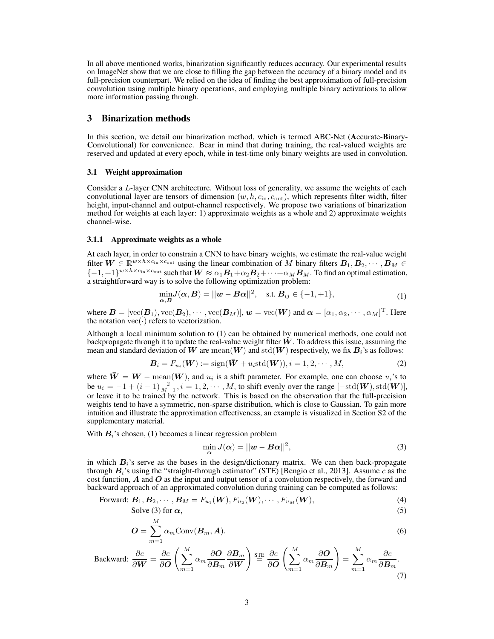In all above mentioned works, binarization significantly reduces accuracy. Our experimental results on ImageNet show that we are close to filling the gap between the accuracy of a binary model and its full-precision counterpart. We relied on the idea of finding the best approximation of full-precision convolution using multiple binary operations, and employing multiple binary activations to allow more information passing through.

## 3 Binarization methods

In this section, we detail our binarization method, which is termed ABC-Net (Accurate-Binary-Convolutional) for convenience. Bear in mind that during training, the real-valued weights are reserved and updated at every epoch, while in test-time only binary weights are used in convolution.

### 3.1 Weight approximation

Consider a *L*-layer CNN architecture. Without loss of generality, we assume the weights of each convolutional layer are tensors of dimension (*w, h, c*in*, c*out), which represents filter width, filter height, input-channel and output-channel respectively. We propose two variations of binarization method for weights at each layer: 1) approximate weights as a whole and 2) approximate weights channel-wise.

#### 3.1.1 Approximate weights as a whole

At each layer, in order to constrain a CNN to have binary weights, we estimate the real-value weight filter  $W \in \mathbb{R}^{w \times h \times c_{\text{in}} \times c_{\text{out}}}$  using the linear combination of *M* binary filters  $B_1, B_2, \cdots, B_M \in$  $\{1, 1\}$ *w*×*h*×*c*<sub>in</sub>×*c*<sub>out</sub> such that  $\boldsymbol{W} \approx \alpha_1 \boldsymbol{B}_1 + \alpha_2 \boldsymbol{B}_2 + \cdots + \alpha_M \boldsymbol{B}_M$ . To find an optimal estimation, a straightforward way is to solve the following optimization problem:

<span id="page-2-0"></span>
$$
\min_{\mathbf{\alpha}, \mathbf{B}} J(\mathbf{\alpha}, \mathbf{B}) = ||\mathbf{w} - \mathbf{B}\mathbf{\alpha}||^2, \quad \text{s.t. } \mathbf{B}_{ij} \in \{-1, +1\},\tag{1}
$$

where  $\mathbf{B} = [\text{vec}(\mathbf{B}_1), \text{vec}(\mathbf{B}_2), \cdots, \text{vec}(\mathbf{B}_M)], \mathbf{w} = \text{vec}(\mathbf{W})$  and  $\boldsymbol{\alpha} = [\alpha_1, \alpha_2, \cdots, \alpha_M]^{\text{T}}$ . Here the notation  $\text{vec}(\cdot)$  refers to vectorization.

Although a local minimum solution to [\(1\)](#page-2-0) can be obtained by numerical methods, one could not backpropagate through it to update the real-value weight filter  $W$ . To address this issue, assuming the mean and standard deviation of W are mean $(W)$  and std $(W)$  respectively, we fix  $B_i$ 's as follows:

$$
\mathbf{B}_{i} = F_{u_i}(\mathbf{W}) := \text{sign}(\bar{\mathbf{W}} + u_i \text{std}(\mathbf{W})), i = 1, 2, \cdots, M,
$$
\n(2)

where  $\mathbf{W} = \mathbf{W} - \text{mean}(\mathbf{W})$ , and  $u_i$  is a shift parameter. For example, one can choose  $u_i$ 's to be  $u_i = -1 + (i-1)\frac{2}{M-1}, i = 1, 2, \cdots, M$ , to shift evenly over the range  $[-std(\boldsymbol{W}), std(\boldsymbol{W})]$ , or leave it to be trained by the network. This is based on the observation that the full-precision weights tend to have a symmetric, non-sparse distribution, which is close to Gaussian. To gain more intuition and illustrate the approximation effectiveness, an example is visualized in Section [S2](#page-0-0) of the supplementary material.

With  $B_i$ 's chosen, [\(1\)](#page-2-0) becomes a linear regression problem

<span id="page-2-3"></span><span id="page-2-2"></span><span id="page-2-1"></span>
$$
\min_{\alpha} J(\alpha) = ||\mathbf{w} - \mathbf{B}\alpha||^2,\tag{3}
$$

in which  $B_i$ 's serve as the bases in the design/dictionary matrix. We can then back-propagate through  $B_i$ 's using the "straight-through estimator" (STE) [\[Bengio et al., 2013\]](#page-8-10). Assume *c* as the cost function, *A* and *O* as the input and output tensor of a convolution respectively, the forward and backward approach of an approximated convolution during training can be computed as follows:

$$
\text{Forward: } \boldsymbol{B}_1, \boldsymbol{B}_2, \cdots, \boldsymbol{B}_M = F_{u_1}(\boldsymbol{W}), F_{u_2}(\boldsymbol{W}), \cdots, F_{u_M}(\boldsymbol{W}), \tag{4}
$$

Solve (3) for 
$$
\alpha
$$
, (5)

$$
\boldsymbol{O} = \sum_{m=1}^{M} \alpha_m \text{Conv}(\boldsymbol{B}_m, \boldsymbol{A}).
$$
\n(6)

$$
\text{Backward: } \frac{\partial c}{\partial \mathbf{W}} = \frac{\partial c}{\partial \mathbf{O}} \left( \sum_{m=1}^{M} \alpha_m \frac{\partial \mathbf{O}}{\partial \mathbf{B}_m} \frac{\partial \mathbf{B}_m}{\partial \mathbf{W}} \right) \stackrel{\text{STE}}{=} \frac{\partial c}{\partial \mathbf{O}} \left( \sum_{m=1}^{M} \alpha_m \frac{\partial \mathbf{O}}{\partial \mathbf{B}_m} \right) = \sum_{m=1}^{M} \alpha_m \frac{\partial c}{\partial \mathbf{B}_m}.
$$
\n(7)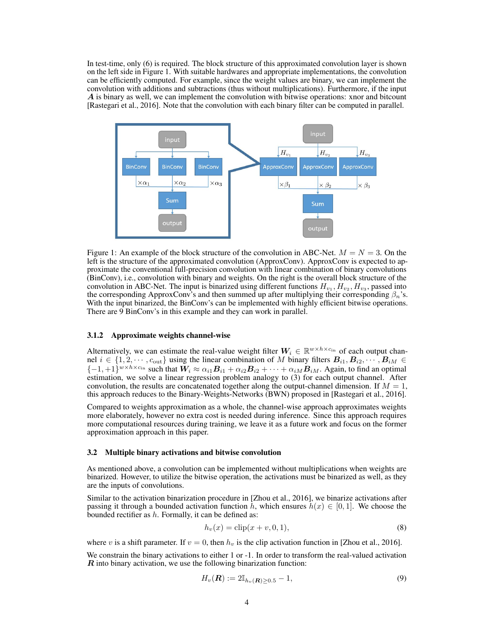In test-time, only [\(6\)](#page-2-2) is required. The block structure of this approximated convolution layer is shown on the left side in Figure [1.](#page-3-0) With suitable hardwares and appropriate implementations, the convolution can be efficiently computed. For example, since the weight values are binary, we can implement the convolution with additions and subtractions (thus without multiplications). Furthermore, if the input *A* is binary as well, we can implement the convolution with bitwise operations: xnor and bitcount [\[Rastegari et al., 2016\]](#page-8-4). Note that the convolution with each binary filter can be computed in parallel.



<span id="page-3-0"></span>Figure 1: An example of the block structure of the convolution in ABC-Net.  $M = N = 3$ . On the left is the structure of the approximated convolution (ApproxConv). ApproxConv is expected to approximate the conventional full-precision convolution with linear combination of binary convolutions (BinConv), i.e., convolution with binary and weights. On the right is the overall block structure of the convolution in ABC-Net. The input is binarized using different functions  $H_v$ ,  $H_v$ ,  $H_v$ , passed into the corresponding ApproxConv's and then summed up after multiplying their corresponding  $\beta_n$ 's. With the input binarized, the BinConv's can be implemented with highly efficient bitwise operations. There are 9 BinConv's in this example and they can work in parallel.

#### 3.1.2 Approximate weights channel-wise

Alternatively, we can estimate the real-value weight filter  $W_i \in \mathbb{R}^{w \times h \times c_{\text{in}}}$  of each output channel  $i \in \{1, 2, \dots, c_{\text{out}}\}$  using the linear combination of *M* binary filters  $B_{i1}, B_{i2}, \dots, B_{iM} \in$  $\{-1, +1\}^{w \times h \times c_{\text{in}}}$  such that  $W_i \approx \alpha_{i1} B_{i1} + \alpha_{i2} B_{i2} + \cdots + \alpha_{iM} B_{iM}$ . Again, to find an optimal estimation, we solve a linear regression problem analogy to [\(3\)](#page-2-1) for each output channel. After convolution, the results are concatenated together along the output-channel dimension. If  $M = 1$ , this approach reduces to the Binary-Weights-Networks (BWN) proposed in [\[Rastegari et al., 2016\]](#page-8-4).

Compared to weights approximation as a whole, the channel-wise approach approximates weights more elaborately, however no extra cost is needed during inference. Since this approach requires more computational resources during training, we leave it as a future work and focus on the former approximation approach in this paper.

#### 3.2 Multiple binary activations and bitwise convolution

As mentioned above, a convolution can be implemented without multiplications when weights are binarized. However, to utilize the bitwise operation, the activations must be binarized as well, as they are the inputs of convolutions.

Similar to the activation binarization procedure in [\[Zhou et al., 2016\]](#page-8-9), we binarize activations after passing it through a bounded activation function *h*, which ensures  $h(x) \in [0,1]$ . We choose the bounded rectifier as *h*. Formally, it can be defined as:

<span id="page-3-1"></span>
$$
h_v(x) = \text{clip}(x + v, 0, 1),\tag{8}
$$

where *v* is a shift parameter. If  $v = 0$ , then  $h_v$  is the clip activation function in [\[Zhou et al., 2016\]](#page-8-9).

We constrain the binary activations to either 1 or -1. In order to transform the real-valued activation *R* into binary activation, we use the following binarization function:

$$
H_v(\boldsymbol{R}) := 2\mathbb{I}_{h_v(\boldsymbol{R}) \geq 0.5} - 1,\tag{9}
$$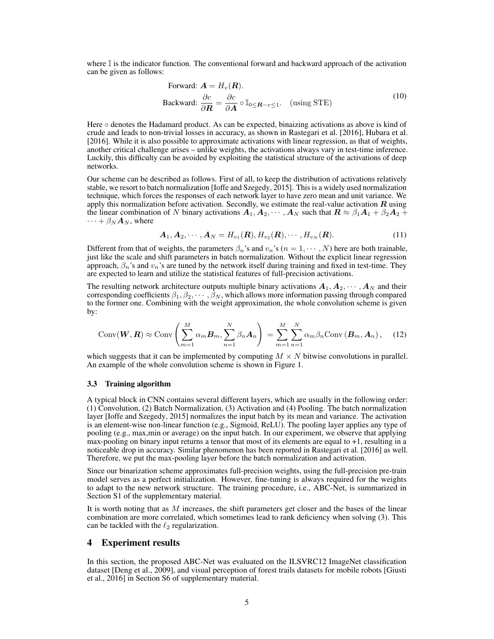where  $\mathbb I$  is the indicator function. The conventional forward and backward approach of the activation can be given as follows:

Forward: 
$$
\mathbf{A} = H_v(\mathbf{R}).
$$
  
\nBackward:  $\frac{\partial c}{\partial \mathbf{R}} = \frac{\partial c}{\partial \mathbf{A}} \circ \mathbb{I}_{0 \leq \mathbf{R} - v \leq 1}.$  (using STE) (10)

Here  $\circ$  denotes the Hadamard product. As can be expected, binaizing activations as above is kind of crude and leads to non-trivial losses in accuracy, as shown in [Rastegari et al.](#page-8-4) [\[2016\]](#page-8-4), [Hubara et al.](#page-8-7) [\[2016\]](#page-8-7). While it is also possible to approximate activations with linear regression, as that of weights, another critical challenge arises – unlike weights, the activations always vary in test-time inference. Luckily, this difficulty can be avoided by exploiting the statistical structure of the activations of deep networks.

Our scheme can be described as follows. First of all, to keep the distribution of activations relatively stable, we resort to batch normalization [\[Ioffe and Szegedy, 2015\]](#page-8-12). This is a widely used normalization technique, which forces the responses of each network layer to have zero mean and unit variance. We apply this normalization before activation. Secondly, we estimate the real-value activation *R* using the linear combination of *N* binary activations  $A_1, A_2, \cdots, A_N$  such that  $R \approx \beta_1 A_1 + \beta_2 A_2 +$  $\cdots + \beta_N A_N$ , where

$$
\boldsymbol{A}_1, \boldsymbol{A}_2, \cdots, \boldsymbol{A}_N = H_{v_1}(\boldsymbol{R}), H_{v_2}(\boldsymbol{R}), \cdots, H_{v_N}(\boldsymbol{R}).
$$
\n(11)

Different from that of weights, the parameters  $\beta_n$ 's and  $v_n$ 's  $(n = 1, \dots, N)$  here are both trainable, just like the scale and shift parameters in batch normalization. Without the explicit linear regression approach,  $\beta_n$ 's and  $v_n$ 's are tuned by the network itself during training and fixed in test-time. They are expected to learn and utilize the statistical features of full-precision activations.

The resulting network architecture outputs multiple binary activations  $A_1, A_2, \cdots, A_N$  and their corresponding coefficients  $\beta_1, \beta_2, \cdots, \beta_N$ , which allows more information passing through compared to the former one. Combining with the weight approximation, the whole convolution scheme is given by:

$$
Conv(\boldsymbol{W}, \boldsymbol{R}) \approx Conv\left(\sum_{m=1}^{M} \alpha_m \boldsymbol{B}_m, \sum_{n=1}^{N} \beta_n \boldsymbol{A}_n\right) = \sum_{m=1}^{M} \sum_{n=1}^{N} \alpha_m \beta_n Conv(\boldsymbol{B}_m, \boldsymbol{A}_n), \quad (12)
$$

which suggests that it can be implemented by computing  $M \times N$  bitwise convolutions in parallel. An example of the whole convolution scheme is shown in Figure [1.](#page-3-0)

#### 3.3 Training algorithm

A typical block in CNN contains several different layers, which are usually in the following order: (1) Convolution, (2) Batch Normalization, (3) Activation and (4) Pooling. The batch normalization layer [\[Ioffe and Szegedy, 2015\]](#page-8-12) normalizes the input batch by its mean and variance. The activation is an element-wise non-linear function (e.g., Sigmoid, ReLU). The pooling layer applies any type of pooling (e.g., max,min or average) on the input batch. In our experiment, we observe that applying max-pooling on binary input returns a tensor that most of its elements are equal to  $+1$ , resulting in a noticeable drop in accuracy. Similar phenomenon has been reported in [Rastegari et al.](#page-8-4) [\[2016\]](#page-8-4) as well. Therefore, we put the max-pooling layer before the batch normalization and activation.

Since our binarization scheme approximates full-precision weights, using the full-precision pre-train model serves as a perfect initialization. However, fine-tuning is always required for the weights to adapt to the new network structure. The training procedure, i.e., ABC-Net, is summarized in Section [S1](#page-0-1) of the supplementary material.

It is worth noting that as *M* increases, the shift parameters get closer and the bases of the linear combination are more correlated, which sometimes lead to rank deficiency when solving [\(3\)](#page-2-1). This can be tackled with the  $\ell_2$  regularization.

## 4 Experiment results

In this section, the proposed ABC-Net was evaluated on the ILSVRC12 ImageNet classification dataset [\[Deng et al., 2009\]](#page-8-13), and visual perception of forest trails datasets for mobile robots [\[Giusti](#page-8-14) [et al., 2016\]](#page-8-14) in Section [S6](#page-0-2) of supplementary material.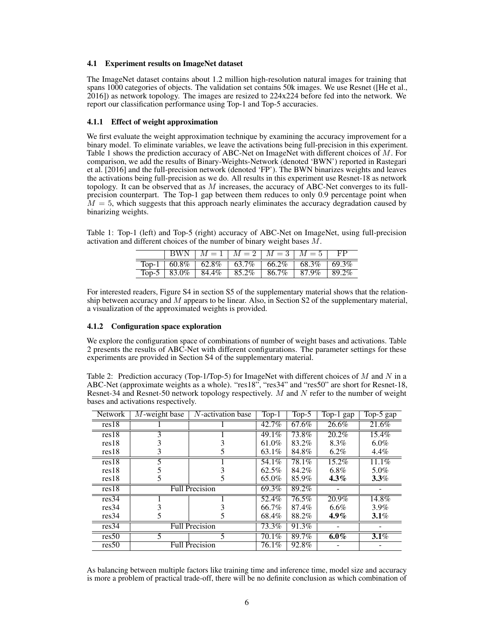#### 4.1 Experiment results on ImageNet dataset

The ImageNet dataset contains about 1.2 million high-resolution natural images for training that spans 1000 categories of objects. The validation set contains 50k images. We use Resnet ([\[He et al.,](#page-8-0) [2016\]](#page-8-0)) as network topology. The images are resized to 224x224 before fed into the network. We report our classification performance using Top-1 and Top-5 accuracies.

## 4.1.1 Effect of weight approximation

We first evaluate the weight approximation technique by examining the accuracy improvement for a binary model. To eliminate variables, we leave the activations being full-precision in this experiment. Table [1](#page-5-0) shows the prediction accuracy of ABC-Net on ImageNet with different choices of *M*. For comparison, we add the results of Binary-Weights-Network (denoted 'BWN') reported in [Rastegari](#page-8-4) [et al.](#page-8-4) [\[2016\]](#page-8-4) and the full-precision network (denoted 'FP'). The BWN binarizes weights and leaves the activations being full-precision as we do. All results in this experiment use Resnet-18 as network topology. It can be observed that as *M* increases, the accuracy of ABC-Net converges to its fullprecision counterpart. The Top-1 gap between them reduces to only 0.9 percentage point when  $M = 5$ , which suggests that this approach nearly eliminates the accuracy degradation caused by binarizing weights.

<span id="page-5-0"></span>Table 1: Top-1 (left) and Top-5 (right) accuracy of ABC-Net on ImageNet, using full-precision activation and different choices of the number of binary weight bases *M*.

|                             |       | BWN $M = 1$ $M = 2$ $M = 3$ $M = 5$                                     |       |          |
|-----------------------------|-------|-------------------------------------------------------------------------|-------|----------|
|                             |       | Top-1   $60.8\%$   $62.8\%$   $63.7\%$   $66.2\%$   $68.3\%$   $69.3\%$ |       |          |
| Top-5   $83.0\%$   $84.4\%$ | 85.2% | $+86.7\%$                                                               | 87.9% | $89.2\%$ |

For interested readers, Figure [S4](#page-0-3) in section [S5](#page-0-4) of the supplementary material shows that the relationship between accuracy and *M* appears to be linear. Also, in Section [S2](#page-0-0) of the supplementary material, a visualization of the approximated weights is provided.

## 4.1.2 Configuration space exploration

We explore the configuration space of combinations of number of weight bases and activations. Table [2](#page-5-1) presents the results of ABC-Net with different configurations. The parameter settings for these experiments are provided in Section [S4](#page-0-5) of the supplementary material.

<span id="page-5-1"></span>Table 2: Prediction accuracy (Top-1/Top-5) for ImageNet with different choices of *M* and *N* in a ABC-Net (approximate weights as a whole). "res18", "res34" and "res50" are short for Resnet-18, Resnet-34 and Resnet-50 network topology respectively. *M* and *N* refer to the number of weight bases and activations respectively.

| <b>Network</b> | $M$ -weight base      | $N$ -activation base | $Top-1$ | $Top-5$ | $\overline{\text{Top-1}}$ gap | $\overline{Top-5}$ gap |
|----------------|-----------------------|----------------------|---------|---------|-------------------------------|------------------------|
| res18          |                       |                      | 42.7%   | 67.6%   | 26.6%                         | 21.6%                  |
| res18          | 3                     |                      | 49.1%   | 73.8%   | $20.2\%$                      | $15.4\%$               |
| res18          |                       |                      | 61.0%   | 83.2%   | 8.3%                          | $6.0\%$                |
| res18          | 3                     |                      | 63.1%   | 84.8%   | $6.2\%$                       | $4.4\%$                |
| res18          |                       |                      | 54.1%   | 78.1%   | $15.2\%$                      | 11.1%                  |
| res18          |                       |                      | 62.5%   | 84.2%   | 6.8%                          | 5.0%                   |
| res18          |                       |                      | 65.0%   | 85.9%   | $4.3\%$                       | $3.3\%$                |
| res18          | <b>Full Precision</b> | 69.3%                | 89.2%   |         |                               |                        |
| res34          |                       |                      | 52.4%   | 76.5%   | 20.9%                         | 14.8%                  |
| res34          |                       |                      | 66.7%   | 87.4%   | $6.6\%$                       | 3.9%                   |
| res34          |                       |                      | 68.4%   | 88.2%   | $4.9\%$                       | $3.1\%$                |
| res34          | <b>Full Precision</b> |                      | 73.3%   | 91.3%   |                               |                        |
| res50          | 5                     | 5                    | 70.1%   | 89.7%   | $6.0\%$                       | $3.1\%$                |
| res50          | <b>Full Precision</b> | 76.1%                | 92.8%   |         |                               |                        |

As balancing between multiple factors like training time and inference time, model size and accuracy is more a problem of practical trade-off, there will be no definite conclusion as which combination of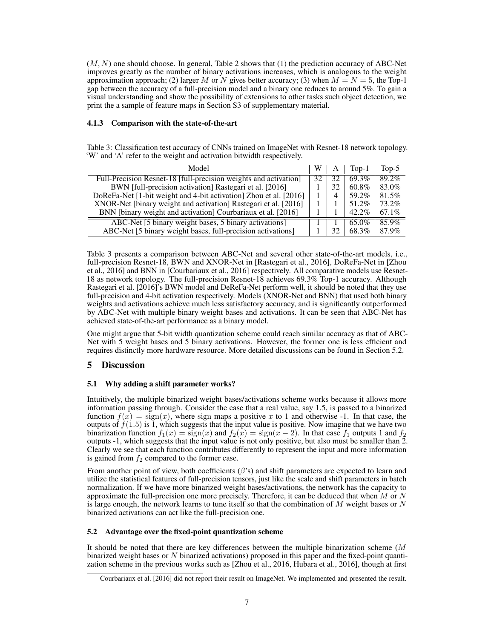$(M, N)$  one should choose. In general, Table [2](#page-5-1) shows that  $(1)$  the prediction accuracy of ABC-Net improves greatly as the number of binary activations increases, which is analogous to the weight approximation approach; (2) larger *M* or *N* gives better accuracy; (3) when  $M = N = 5$ , the Top-1 gap between the accuracy of a full-precision model and a binary one reduces to around 5%. To gain a visual understanding and show the possibility of extensions to other tasks such object detection, we print the a sample of feature maps in Section [S3](#page-0-6) of supplementary material.

### 4.1.3 Comparison with the state-of-the-art

<span id="page-6-1"></span>Table 3: Classification test accuracy of CNNs trained on ImageNet with Resnet-18 network topology. 'W' and 'A' refer to the weight and activation bitwidth respectively.

| Model                                                             | W  | A  | Top-1    | Top- $5$ |
|-------------------------------------------------------------------|----|----|----------|----------|
| Full-Precision Resnet-18 [full-precision weights and activation]  | 32 | 32 | 69.3%    | 89.2%    |
| BWN [full-precision activation] Rastegari et al. [2016]           |    | 32 | 60.8%    | 83.0%    |
| DoReFa-Net [1-bit weight and 4-bit activation] Zhou et al. [2016] |    | 4  | 59.2%    | 81.5%    |
| XNOR-Net [binary weight and activation] Rastegari et al. [2016]   |    |    | 51.2%    | 73.2%    |
| BNN [binary weight and activation] Courbariaux et al. [2016]      |    |    | $42.2\%$ | $67.1\%$ |
| ABC-Net [5 binary weight bases, 5 binary activations]             |    |    | 65.0%    | 85.9%    |
| ABC-Net [5 binary weight bases, full-precision activations]       |    | 32 | 68.3%    | 87.9%    |

Table [3](#page-6-1) presents a comparison between ABC-Net and several other state-of-the-art models, i.e., full-precision Resnet-18, BWN and XNOR-Net in [\[Rastegari et al., 2016\]](#page-8-4), DoReFa-Net in [\[Zhou](#page-8-9) [et al., 2016\]](#page-8-9) and BNN in [\[Courbariaux et al., 2016\]](#page-8-2) respectively. All comparative models use Resnet-18 as network topology. The full-precision Resnet-18 achieves 69.3% Top-1 accuracy. Although [Rastegari et al.](#page-8-4) [\[2016\]](#page-8-4)'s BWN model and DeReFa-Net perform well, it should be noted that they use full-precision and 4-bit activation respectively. Models (XNOR-Net and BNN) that used both binary weights and activations achieve much less satisfactory accuracy, and is significantly outperformed by ABC-Net with multiple binary weight bases and activations. It can be seen that ABC-Net has achieved state-of-the-art performance as a binary model.

One might argue that 5-bit width quantization scheme could reach similar accuracy as that of ABC-Net with 5 weight bases and 5 binary activations. However, the former one is less efficient and requires distinctly more hardware resource. More detailed discussions can be found in Section [5.2.](#page-6-0)

# 5 Discussion

## 5.1 Why adding a shift parameter works?

Intuitively, the multiple binarized weight bases/activations scheme works because it allows more information passing through. Consider the case that a real value, say 1.5, is passed to a binarized function  $f(x) = \text{sign}(x)$ , where sign maps a positive x to 1 and otherwise -1. In that case, the outputs of  $f(1.5)$  is 1, which suggests that the input value is positive. Now imagine that we have two binarization function  $f_1(x) = \text{sign}(x)$  and  $f_2(x) = \text{sign}(x - 2)$ . In that case  $f_1$  outputs 1 and  $f_2$ outputs -1, which suggests that the input value is not only positive, but also must be smaller than 2. Clearly we see that each function contributes differently to represent the input and more information is gained from  $f_2$  compared to the former case.

From another point of view, both coefficients  $(\beta)$  and shift parameters are expected to learn and utilize the statistical features of full-precision tensors, just like the scale and shift parameters in batch normalization. If we have more binarized weight bases/activations, the network has the capacity to approximate the full-precision one more precisely. Therefore, it can be deduced that when *M* or *N* is large enough, the network learns to tune itself so that the combination of *M* weight bases or *N* binarized activations can act like the full-precision one.

## <span id="page-6-0"></span>5.2 Advantage over the fixed-point quantization scheme

It should be noted that there are key differences between the multiple binarization scheme (*M* binarized weight bases or *N* binarized activations) proposed in this paper and the fixed-point quantization scheme in the previous works such as [\[Zhou et al., 2016,](#page-8-9) [Hubara et al., 2016\]](#page-8-7), though at first

<span id="page-6-2"></span>[Courbariaux et al.](#page-8-2) [\[2016\]](#page-8-2) did not report their result on ImageNet. We implemented and presented the result.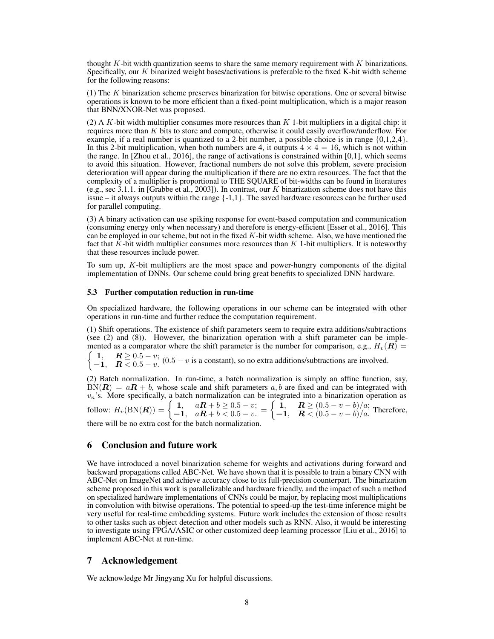thought *K*-bit width quantization seems to share the same memory requirement with *K* binarizations. Specifically, our *K* binarized weight bases/activations is preferable to the fixed K-bit width scheme for the following reasons:

(1) The *K* binarization scheme preserves binarization for bitwise operations. One or several bitwise operations is known to be more efficient than a fixed-point multiplication, which is a major reason that BNN/XNOR-Net was proposed.

(2) A *K*-bit width multiplier consumes more resources than *K* 1-bit multipliers in a digital chip: it requires more than *K* bits to store and compute, otherwise it could easily overflow/underflow. For example, if a real number is quantized to a 2-bit number, a possible choice is in range  $\{0,1,2,4\}$ . In this 2-bit multiplication, when both numbers are 4, it outputs  $4 \times 4 = 16$ , which is not within the range. In [\[Zhou et al., 2016\]](#page-8-9), the range of activations is constrained within [0,1], which seems to avoid this situation. However, fractional numbers do not solve this problem, severe precision deterioration will appear during the multiplication if there are no extra resources. The fact that the complexity of a multiplier is proportional to THE SQUARE of bit-widths can be found in literatures (e.g., sec 3.1.1. in [\[Grabbe et al., 2003\]](#page-8-15)). In contrast, our *K* binarization scheme does not have this issue – it always outputs within the range  $\{-1,1\}$ . The saved hardware resources can be further used for parallel computing.

(3) A binary activation can use spiking response for event-based computation and communication (consuming energy only when necessary) and therefore is energy-efficient [\[Esser et al., 2016\]](#page-8-3). This can be employed in our scheme, but not in the fixed *K*-bit width scheme. Also, we have mentioned the fact that *K*-bit width multiplier consumes more resources than *K* 1-bit multipliers. It is noteworthy that these resources include power.

To sum up, *K*-bit multipliers are the most space and power-hungry components of the digital implementation of DNNs. Our scheme could bring great benefits to specialized DNN hardware.

#### 5.3 Further computation reduction in run-time

On specialized hardware, the following operations in our scheme can be integrated with other operations in run-time and further reduce the computation requirement.

(1) Shift operations. The existence of shift parameters seem to require extra additions/subtractions (see [\(2\)](#page-2-3) and [\(8\)](#page-3-1)). However, the binarization operation with a shift parameter can be implemented as a comparator where the shift parameter is the number for comparison, e.g.,  $H_v(\mathbf{R}) =$ 

 $\begin{cases} 1, & R \geq 0.5 - v; \\ 1, & R \geq 0.5 \end{cases}$ 1,  $\mathbf{R} \leq 0.5 - v$ ,  $(0.5 - v \text{ is a constant})$ , so no extra additions/subtractions are involved.

(2) Batch normalization. In run-time, a batch normalization is simply an affine function, say,  $BN(R) = aR + b$ , whose scale and shift parameters  $a, b$  are fixed and can be integrated with  $v_n$ 's. More specifically, a batch normalization can be integrated into a binarization operation as follow:  $H_v(BN(R)) = \begin{cases} 1, & aR + b \ge 0.5 - v; \\ -1, & aR + b < 0.5 - v. \end{cases}$  $\left( \begin{array}{cc} 1, & R \geq (0.5 - v - b)/a; \end{array} \right)$ 1,  $\mathbf{R} \leq (0.5 - v - b)/a$ . Therefore, there will be no extra cost for the batch normalization.

# 6 Conclusion and future work

We have introduced a novel binarization scheme for weights and activations during forward and backward propagations called ABC-Net. We have shown that it is possible to train a binary CNN with ABC-Net on ImageNet and achieve accuracy close to its full-precision counterpart. The binarization scheme proposed in this work is parallelizable and hardware friendly, and the impact of such a method on specialized hardware implementations of CNNs could be major, by replacing most multiplications in convolution with bitwise operations. The potential to speed-up the test-time inference might be very useful for real-time embedding systems. Future work includes the extension of those results to other tasks such as object detection and other models such as RNN. Also, it would be interesting to investigate using FPGA/ASIC or other customized deep learning processor [\[Liu et al., 2016\]](#page-8-16) to implement ABC-Net at run-time.

# 7 Acknowledgement

We acknowledge Mr Jingyang Xu for helpful discussions.